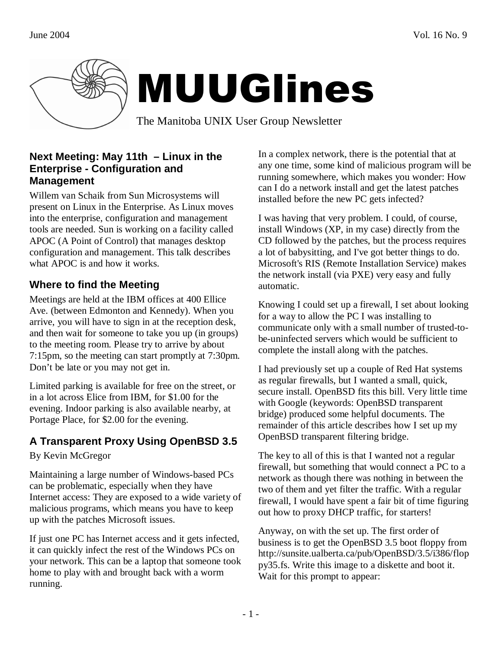

### **Next Meeting: May 11th – Linux in the Enterprise - Configuration and Management**

Willem van Schaik from Sun Microsystems will present on Linux in the Enterprise. As Linux moves into the enterprise, configuration and management tools are needed. Sun is working on a facility called APOC (A Point of Control) that manages desktop configuration and management. This talk describes what APOC is and how it works.

# **Where to find the Meeting**

Meetings are held at the IBM offices at 400 Ellice Ave. (between Edmonton and Kennedy). When you arrive, you will have to sign in at the reception desk, and then wait for someone to take you up (in groups) to the meeting room. Please try to arrive by about 7:15pm, so the meeting can start promptly at 7:30pm. Don't be late or you may not get in.

Limited parking is available for free on the street, or in a lot across Elice from IBM, for \$1.00 for the evening. Indoor parking is also available nearby, at Portage Place, for \$2.00 for the evening.

# **A Transparent Proxy Using OpenBSD 3.5**

By Kevin McGregor

Maintaining a large number of Windows-based PCs can be problematic, especially when they have Internet access: They are exposed to a wide variety of malicious programs, which means you have to keep up with the patches Microsoft issues.

If just one PC has Internet access and it gets infected, it can quickly infect the rest of the Windows PCs on your network. This can be a laptop that someone took home to play with and brought back with a worm running.

In a complex network, there is the potential that at any one time, some kind of malicious program will be running somewhere, which makes you wonder: How can I do a network install and get the latest patches installed before the new PC gets infected?

I was having that very problem. I could, of course, install Windows (XP, in my case) directly from the CD followed by the patches, but the process requires a lot of babysitting, and I've got better things to do. Microsoft's RIS (Remote Installation Service) makes the network install (via PXE) very easy and fully automatic.

Knowing I could set up a firewall, I set about looking for a way to allow the PC I was installing to communicate only with a small number of trusted-tobe-uninfected servers which would be sufficient to complete the install along with the patches.

I had previously set up a couple of Red Hat systems as regular firewalls, but I wanted a small, quick, secure install. OpenBSD fits this bill. Very little time with Google (keywords: OpenBSD transparent bridge) produced some helpful documents. The remainder of this article describes how I set up my OpenBSD transparent filtering bridge.

The key to all of this is that I wanted not a regular firewall, but something that would connect a PC to a network as though there was nothing in between the two of them and yet filter the traffic. With a regular firewall, I would have spent a fair bit of time figuring out how to proxy DHCP traffic, for starters!

Anyway, on with the set up. The first order of business is to get the OpenBSD 3.5 boot floppy from http://sunsite.ualberta.ca/pub/OpenBSD/3.5/i386/flop py35.fs. Write this image to a diskette and boot it. Wait for this prompt to appear: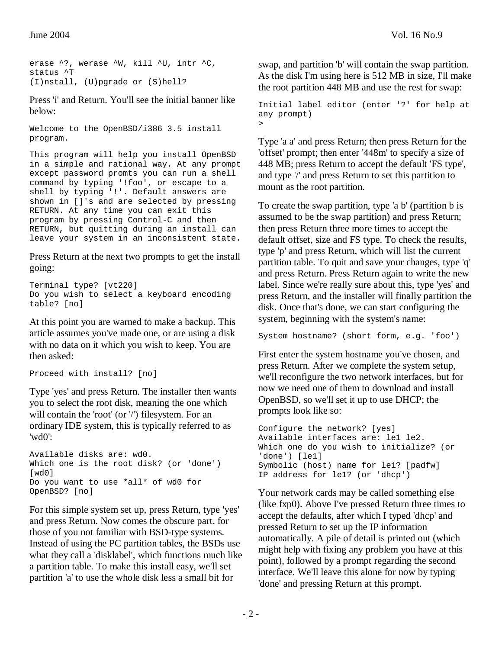erase ^?, werase ^W, kill ^U, intr ^C, status ^T (I)nstall, (U)pgrade or (S)hell?

Press 'i' and Return. You'll see the initial banner like below:

Welcome to the OpenBSD/i386 3.5 install program.

This program will help you install OpenBSD in a simple and rational way. At any prompt except password promts you can run a shell command by typing '!foo', or escape to a shell by typing '!'. Default answers are shown in []'s and are selected by pressing RETURN. At any time you can exit this program by pressing Control-C and then RETURN, but quitting during an install can leave your system in an inconsistent state.

Press Return at the next two prompts to get the install going:

```
Terminal type? [vt220] 
Do you wish to select a keyboard encoding 
table? [no]
```
At this point you are warned to make a backup. This article assumes you've made one, or are using a disk with no data on it which you wish to keep. You are then asked:

```
Proceed with install? [no]
```
Type 'yes' and press Return. The installer then wants you to select the root disk, meaning the one which will contain the 'root' (or '/') filesystem. For an ordinary IDE system, this is typically referred to as 'wd0':

```
Available disks are: wd0. 
Which one is the root disk? (or 'done') 
[wd0]
Do you want to use *all* of wd0 for 
OpenBSD? [no]
```
For this simple system set up, press Return, type 'yes' and press Return. Now comes the obscure part, for those of you not familiar with BSD-type systems. Instead of using the PC partition tables, the BSDs use what they call a 'disklabel', which functions much like a partition table. To make this install easy, we'll set partition 'a' to use the whole disk less a small bit for

swap, and partition 'b' will contain the swap partition. As the disk I'm using here is 512 MB in size, I'll make the root partition 448 MB and use the rest for swap:

Initial label editor (enter '?' for help at any prompt) >

Type 'a a' and press Return; then press Return for the 'offset' prompt; then enter '448m' to specify a size of 448 MB; press Return to accept the default 'FS type', and type '/' and press Return to set this partition to mount as the root partition.

To create the swap partition, type 'a b' (partition b is assumed to be the swap partition) and press Return; then press Return three more times to accept the default offset, size and FS type. To check the results, type 'p' and press Return, which will list the current partition table. To quit and save your changes, type 'q' and press Return. Press Return again to write the new label. Since we're really sure about this, type 'yes' and press Return, and the installer will finally partition the disk. Once that's done, we can start configuring the system, beginning with the system's name:

System hostname? (short form, e.g. 'foo')

First enter the system hostname you've chosen, and press Return. After we complete the system setup, we'll reconfigure the two network interfaces, but for now we need one of them to download and install OpenBSD, so we'll set it up to use DHCP; the prompts look like so:

```
Configure the network? [yes] 
Available interfaces are: le1 le2. 
Which one do you wish to initialize? (or 
'done') [le1] 
Symbolic (host) name for le1? [padfw] 
IP address for le1? (or 'dhcp')
```
Your network cards may be called something else (like fxp0). Above I've pressed Return three times to accept the defaults, after which I typed 'dhcp' and pressed Return to set up the IP information automatically. A pile of detail is printed out (which might help with fixing any problem you have at this point), followed by a prompt regarding the second interface. We'll leave this alone for now by typing 'done' and pressing Return at this prompt.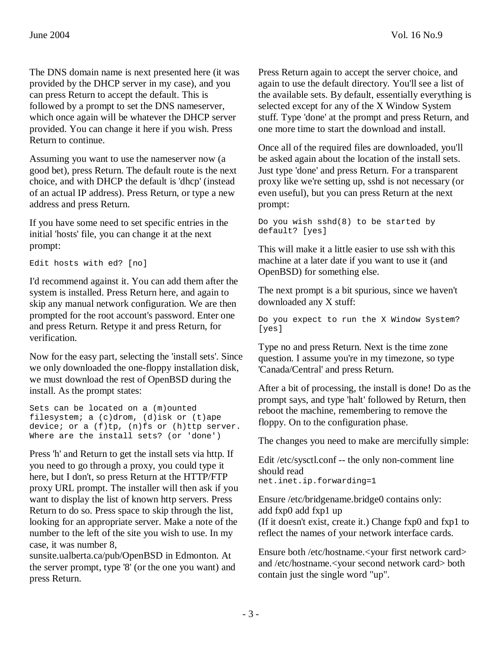The DNS domain name is next presented here (it was provided by the DHCP server in my case), and you can press Return to accept the default. This is followed by a prompt to set the DNS nameserver, which once again will be whatever the DHCP server provided. You can change it here if you wish. Press Return to continue.

Assuming you want to use the nameserver now (a good bet), press Return. The default route is the next choice, and with DHCP the default is 'dhcp' (instead of an actual IP address). Press Return, or type a new address and press Return.

If you have some need to set specific entries in the initial 'hosts' file, you can change it at the next prompt:

Edit hosts with ed? [no]

I'd recommend against it. You can add them after the system is installed. Press Return here, and again to skip any manual network configuration. We are then prompted for the root account's password. Enter one and press Return. Retype it and press Return, for verification.

Now for the easy part, selecting the 'install sets'. Since we only downloaded the one-floppy installation disk, we must download the rest of OpenBSD during the install. As the prompt states:

Sets can be located on a (m)ounted filesystem; a (c)drom, (d)isk or (t)ape device; or a (f)tp, (n)fs or (h)ttp server. Where are the install sets? (or 'done')

Press 'h' and Return to get the install sets via http. If you need to go through a proxy, you could type it here, but I don't, so press Return at the HTTP/FTP proxy URL prompt. The installer will then ask if you want to display the list of known http servers. Press Return to do so. Press space to skip through the list, looking for an appropriate server. Make a note of the number to the left of the site you wish to use. In my case, it was number 8,

sunsite.ualberta.ca/pub/OpenBSD in Edmonton. At the server prompt, type '8' (or the one you want) and press Return.

Press Return again to accept the server choice, and again to use the default directory. You'll see a list of the available sets. By default, essentially everything is selected except for any of the X Window System stuff. Type 'done' at the prompt and press Return, and one more time to start the download and install.

Once all of the required files are downloaded, you'll be asked again about the location of the install sets. Just type 'done' and press Return. For a transparent proxy like we're setting up, sshd is not necessary (or even useful), but you can press Return at the next prompt:

```
Do you wish sshd(8) to be started by 
default? [yes]
```
This will make it a little easier to use ssh with this machine at a later date if you want to use it (and OpenBSD) for something else.

The next prompt is a bit spurious, since we haven't downloaded any X stuff:

Do you expect to run the X Window System? [yes]

Type no and press Return. Next is the time zone question. I assume you're in my timezone, so type 'Canada/Central' and press Return.

After a bit of processing, the install is done! Do as the prompt says, and type 'halt' followed by Return, then reboot the machine, remembering to remove the floppy. On to the configuration phase.

The changes you need to make are mercifully simple:

Edit /etc/sysctl.conf -- the only non-comment line should read net.inet.ip.forwarding=1

Ensure /etc/bridgename.bridge0 contains only: add fxp0 add fxp1 up (If it doesn't exist, create it.) Change fxp0 and fxp1 to reflect the names of your network interface cards.

Ensure both /etc/hostname.<your first network card> and /etc/hostname.<your second network card> both contain just the single word "up".